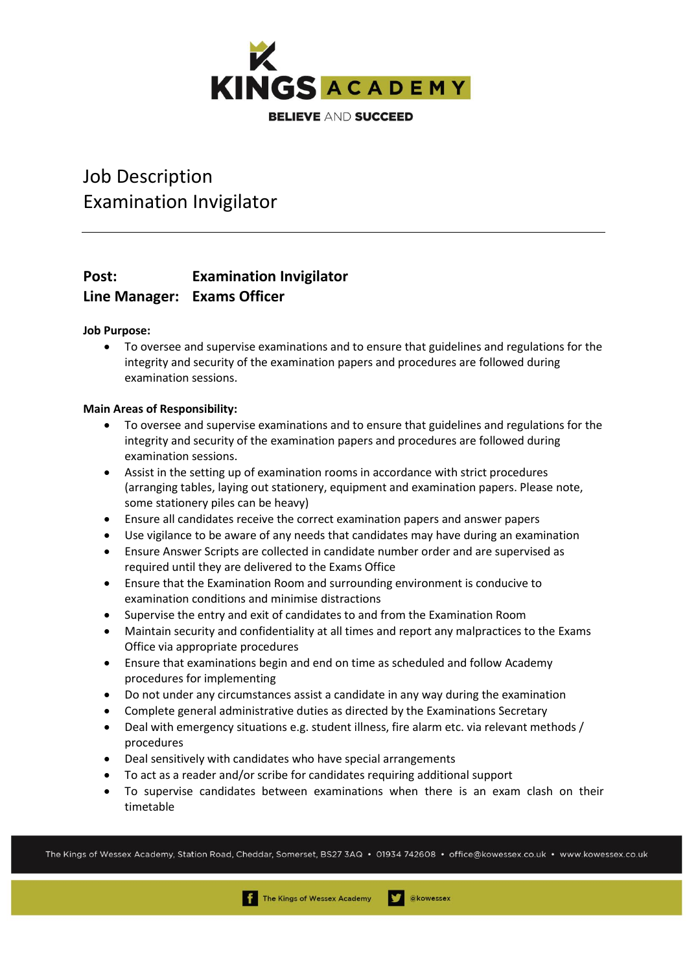

# Job Description Examination Invigilator

### **Post: Examination Invigilator Line Manager: Exams Officer**

**Job Purpose:**

• To oversee and supervise examinations and to ensure that guidelines and regulations for the integrity and security of the examination papers and procedures are followed during examination sessions.

#### **Main Areas of Responsibility:**

- To oversee and supervise examinations and to ensure that guidelines and regulations for the integrity and security of the examination papers and procedures are followed during examination sessions.
- Assist in the setting up of examination rooms in accordance with strict procedures (arranging tables, laying out stationery, equipment and examination papers. Please note, some stationery piles can be heavy)
- Ensure all candidates receive the correct examination papers and answer papers
- Use vigilance to be aware of any needs that candidates may have during an examination
- Ensure Answer Scripts are collected in candidate number order and are supervised as required until they are delivered to the Exams Office
- Ensure that the Examination Room and surrounding environment is conducive to examination conditions and minimise distractions
- Supervise the entry and exit of candidates to and from the Examination Room
- Maintain security and confidentiality at all times and report any malpractices to the Exams Office via appropriate procedures
- Ensure that examinations begin and end on time as scheduled and follow Academy procedures for implementing
- Do not under any circumstances assist a candidate in any way during the examination
- Complete general administrative duties as directed by the Examinations Secretary
- Deal with emergency situations e.g. student illness, fire alarm etc. via relevant methods / procedures
- Deal sensitively with candidates who have special arrangements
- To act as a reader and/or scribe for candidates requiring additional support
- To supervise candidates between examinations when there is an exam clash on their timetable

The Kings of Wessex Academy, Station Road, Cheddar, Somerset, BS27 3AQ • 01934 742608 • office@kowessex.co.uk • www.kowessex.co.uk

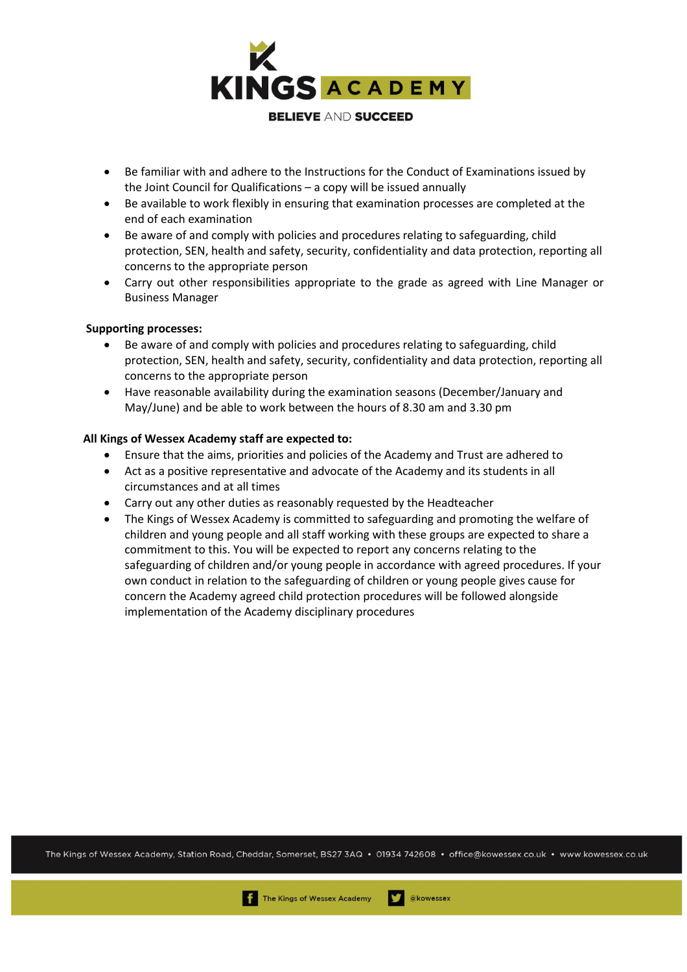

- Be familiar with and adhere to the Instructions for the Conduct of Examinations issued by the Joint Council for Qualifications – a copy will be issued annually
- Be available to work flexibly in ensuring that examination processes are completed at the end of each examination
- Be aware of and comply with policies and procedures relating to safeguarding, child protection, SEN, health and safety, security, confidentiality and data protection, reporting all concerns to the appropriate person
- Carry out other responsibilities appropriate to the grade as agreed with Line Manager or Business Manager

#### **Supporting processes:**

- Be aware of and comply with policies and procedures relating to safeguarding, child protection, SEN, health and safety, security, confidentiality and data protection, reporting all concerns to the appropriate person
- Have reasonable availability during the examination seasons (December/January and May/June) and be able to work between the hours of 8.30 am and 3.30 pm

#### **All Kings of Wessex Academy staff are expected to:**

- Ensure that the aims, priorities and policies of the Academy and Trust are adhered to
- Act as a positive representative and advocate of the Academy and its students in all circumstances and at all times
- Carry out any other duties as reasonably requested by the Headteacher
- The Kings of Wessex Academy is committed to safeguarding and promoting the welfare of children and young people and all staff working with these groups are expected to share a commitment to this. You will be expected to report any concerns relating to the safeguarding of children and/or young people in accordance with agreed procedures. If your own conduct in relation to the safeguarding of children or young people gives cause for concern the Academy agreed child protection procedures will be followed alongside implementation of the Academy disciplinary procedures

The Kings of Wessex Academy, Station Road, Cheddar, Somerset, BS27 3AQ • 01934 742608 • office@kowessex.co.uk • www.kowessex.co.uk